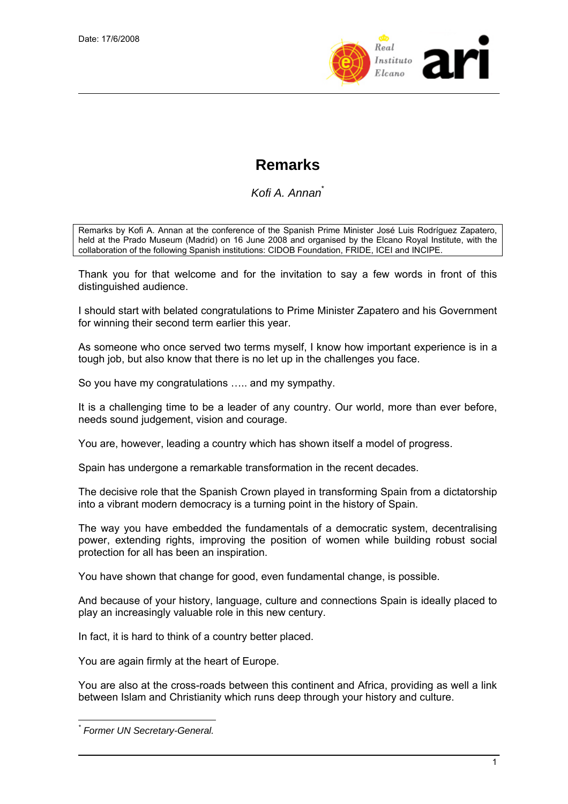

## **Remarks**

*Kofi A. Annan*\*

Remarks by Kofi A. Annan at the conference of the Spanish Prime Minister José Luis Rodríguez Zapatero, held at the Prado Museum (Madrid) on 16 June 2008 and organised by the Elcano Royal Institute, with the collaboration of the following Spanish institutions: CIDOB Foundation, FRIDE, ICEI and INCIPE.

Thank you for that welcome and for the invitation to say a few words in front of this distinguished audience.

I should start with belated congratulations to Prime Minister Zapatero and his Government for winning their second term earlier this year.

As someone who once served two terms myself, I know how important experience is in a tough job, but also know that there is no let up in the challenges you face.

So you have my congratulations ….. and my sympathy.

It is a challenging time to be a leader of any country. Our world, more than ever before, needs sound judgement, vision and courage.

You are, however, leading a country which has shown itself a model of progress.

Spain has undergone a remarkable transformation in the recent decades.

The decisive role that the Spanish Crown played in transforming Spain from a dictatorship into a vibrant modern democracy is a turning point in the history of Spain.

The way you have embedded the fundamentals of a democratic system, decentralising power, extending rights, improving the position of women while building robust social protection for all has been an inspiration.

You have shown that change for good, even fundamental change, is possible.

And because of your history, language, culture and connections Spain is ideally placed to play an increasingly valuable role in this new century.

In fact, it is hard to think of a country better placed.

You are again firmly at the heart of Europe.

You are also at the cross-roads between this continent and Africa, providing as well a link between Islam and Christianity which runs deep through your history and culture.

 $\overline{a}$ *\* Former UN Secretary-General.*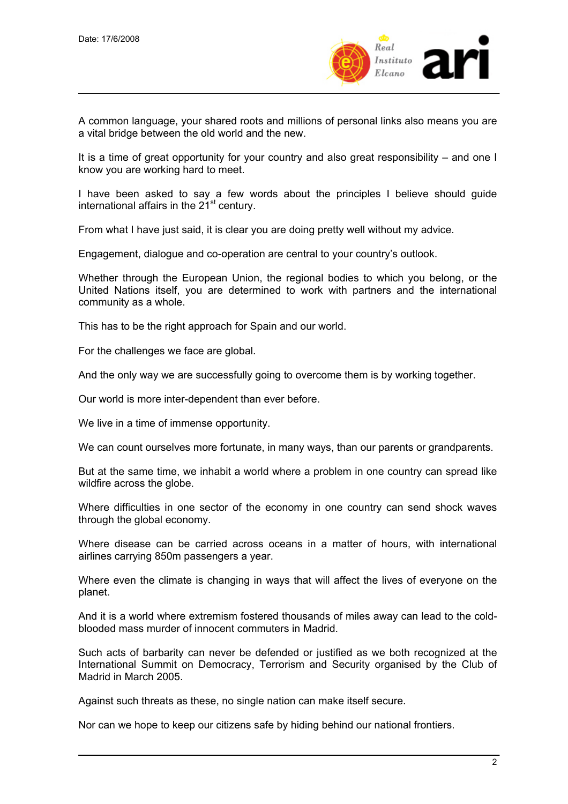

A common language, your shared roots and millions of personal links also means you are a vital bridge between the old world and the new.

It is a time of great opportunity for your country and also great responsibility – and one I know you are working hard to meet.

I have been asked to say a few words about the principles I believe should guide international affairs in the  $21<sup>st</sup>$  century.

From what I have just said, it is clear you are doing pretty well without my advice.

Engagement, dialogue and co-operation are central to your country's outlook.

Whether through the European Union, the regional bodies to which you belong, or the United Nations itself, you are determined to work with partners and the international community as a whole.

This has to be the right approach for Spain and our world.

For the challenges we face are global.

And the only way we are successfully going to overcome them is by working together.

Our world is more inter-dependent than ever before.

We live in a time of immense opportunity.

We can count ourselves more fortunate, in many ways, than our parents or grandparents.

But at the same time, we inhabit a world where a problem in one country can spread like wildfire across the globe.

Where difficulties in one sector of the economy in one country can send shock waves through the global economy.

Where disease can be carried across oceans in a matter of hours, with international airlines carrying 850m passengers a year.

Where even the climate is changing in ways that will affect the lives of everyone on the planet.

And it is a world where extremism fostered thousands of miles away can lead to the coldblooded mass murder of innocent commuters in Madrid.

Such acts of barbarity can never be defended or justified as we both recognized at the International Summit on Democracy, Terrorism and Security organised by the Club of Madrid in March 2005.

Against such threats as these, no single nation can make itself secure.

Nor can we hope to keep our citizens safe by hiding behind our national frontiers.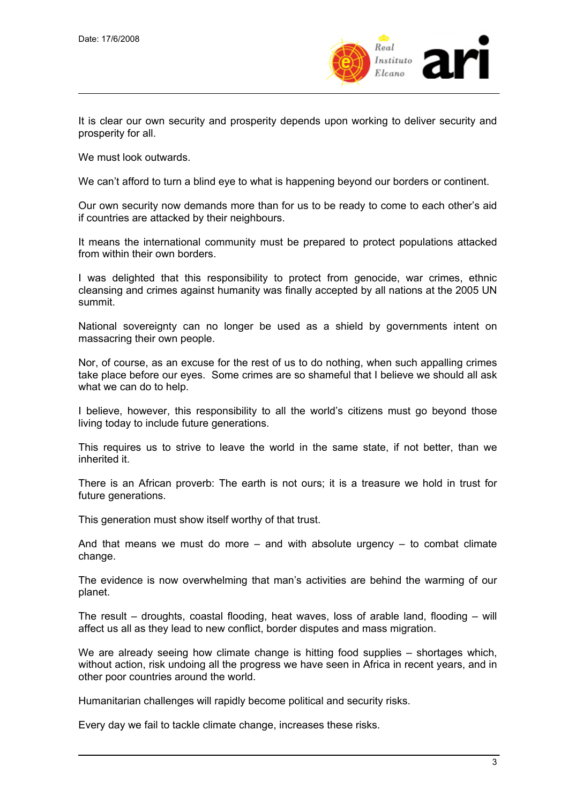

It is clear our own security and prosperity depends upon working to deliver security and prosperity for all.

We must look outwards.

We can't afford to turn a blind eye to what is happening beyond our borders or continent.

Our own security now demands more than for us to be ready to come to each other's aid if countries are attacked by their neighbours.

It means the international community must be prepared to protect populations attacked from within their own borders.

I was delighted that this responsibility to protect from genocide, war crimes, ethnic cleansing and crimes against humanity was finally accepted by all nations at the 2005 UN summit.

National sovereignty can no longer be used as a shield by governments intent on massacring their own people.

Nor, of course, as an excuse for the rest of us to do nothing, when such appalling crimes take place before our eyes. Some crimes are so shameful that I believe we should all ask what we can do to help.

I believe, however, this responsibility to all the world's citizens must go beyond those living today to include future generations.

This requires us to strive to leave the world in the same state, if not better, than we inherited it.

There is an African proverb: The earth is not ours; it is a treasure we hold in trust for future generations.

This generation must show itself worthy of that trust.

And that means we must do more  $-$  and with absolute urgency  $-$  to combat climate change.

The evidence is now overwhelming that man's activities are behind the warming of our planet.

The result – droughts, coastal flooding, heat waves, loss of arable land, flooding – will affect us all as they lead to new conflict, border disputes and mass migration.

We are already seeing how climate change is hitting food supplies – shortages which, without action, risk undoing all the progress we have seen in Africa in recent years, and in other poor countries around the world.

Humanitarian challenges will rapidly become political and security risks.

Every day we fail to tackle climate change, increases these risks.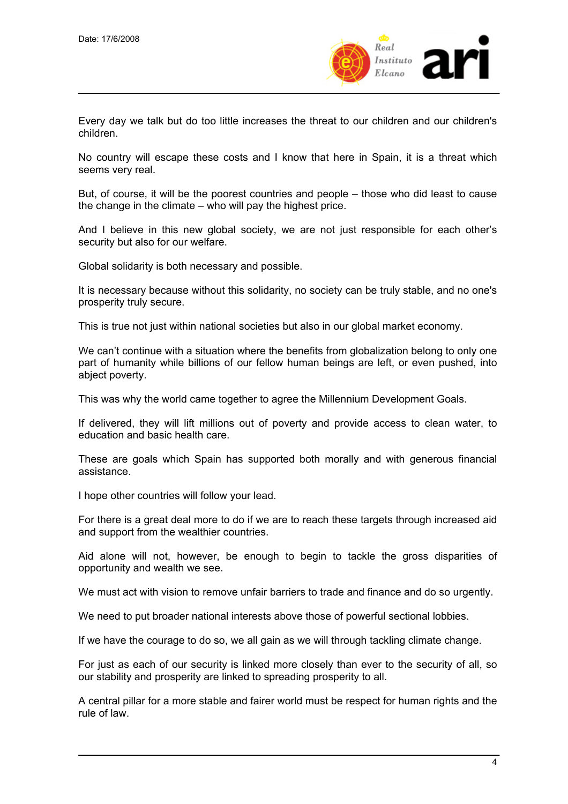

Every day we talk but do too little increases the threat to our children and our children's children.

No country will escape these costs and I know that here in Spain, it is a threat which seems very real.

But, of course, it will be the poorest countries and people – those who did least to cause the change in the climate – who will pay the highest price.

And I believe in this new global society, we are not just responsible for each other's security but also for our welfare.

Global solidarity is both necessary and possible.

It is necessary because without this solidarity, no society can be truly stable, and no one's prosperity truly secure.

This is true not just within national societies but also in our global market economy.

We can't continue with a situation where the benefits from globalization belong to only one part of humanity while billions of our fellow human beings are left, or even pushed, into abject poverty.

This was why the world came together to agree the Millennium Development Goals.

If delivered, they will lift millions out of poverty and provide access to clean water, to education and basic health care.

These are goals which Spain has supported both morally and with generous financial assistance.

I hope other countries will follow your lead.

For there is a great deal more to do if we are to reach these targets through increased aid and support from the wealthier countries.

Aid alone will not, however, be enough to begin to tackle the gross disparities of opportunity and wealth we see.

We must act with vision to remove unfair barriers to trade and finance and do so urgently.

We need to put broader national interests above those of powerful sectional lobbies.

If we have the courage to do so, we all gain as we will through tackling climate change.

For just as each of our security is linked more closely than ever to the security of all, so our stability and prosperity are linked to spreading prosperity to all.

A central pillar for a more stable and fairer world must be respect for human rights and the rule of law.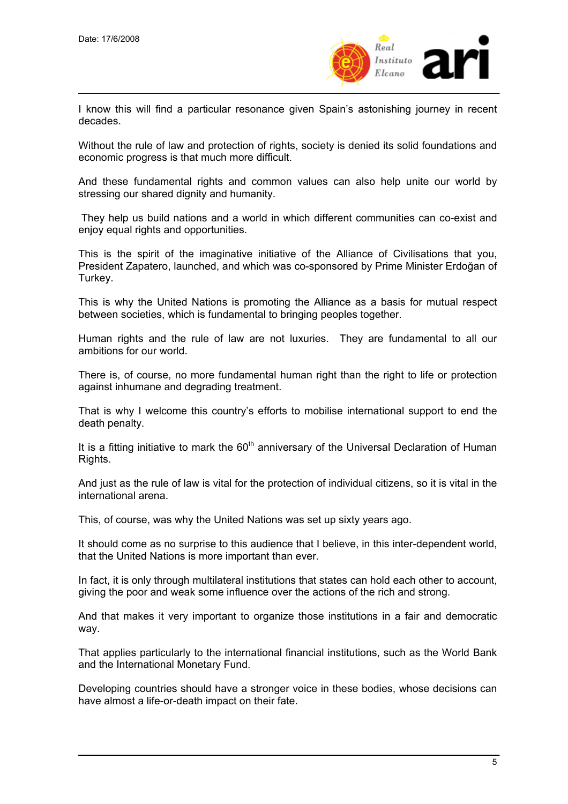

I know this will find a particular resonance given Spain's astonishing journey in recent decades.

Without the rule of law and protection of rights, society is denied its solid foundations and economic progress is that much more difficult.

And these fundamental rights and common values can also help unite our world by stressing our shared dignity and humanity.

 They help us build nations and a world in which different communities can co-exist and enjoy equal rights and opportunities.

This is the spirit of the imaginative initiative of the Alliance of Civilisations that you, President Zapatero, launched, and which was co-sponsored by Prime Minister Erdoğan of Turkey.

This is why the United Nations is promoting the Alliance as a basis for mutual respect between societies, which is fundamental to bringing peoples together.

Human rights and the rule of law are not luxuries. They are fundamental to all our ambitions for our world.

There is, of course, no more fundamental human right than the right to life or protection against inhumane and degrading treatment.

That is why I welcome this country's efforts to mobilise international support to end the death penalty.

It is a fitting initiative to mark the  $60<sup>th</sup>$  anniversary of the Universal Declaration of Human Rights.

And just as the rule of law is vital for the protection of individual citizens, so it is vital in the international arena.

This, of course, was why the United Nations was set up sixty years ago.

It should come as no surprise to this audience that I believe, in this inter-dependent world, that the United Nations is more important than ever.

In fact, it is only through multilateral institutions that states can hold each other to account, giving the poor and weak some influence over the actions of the rich and strong.

And that makes it very important to organize those institutions in a fair and democratic way.

That applies particularly to the international financial institutions, such as the World Bank and the International Monetary Fund.

Developing countries should have a stronger voice in these bodies, whose decisions can have almost a life-or-death impact on their fate.